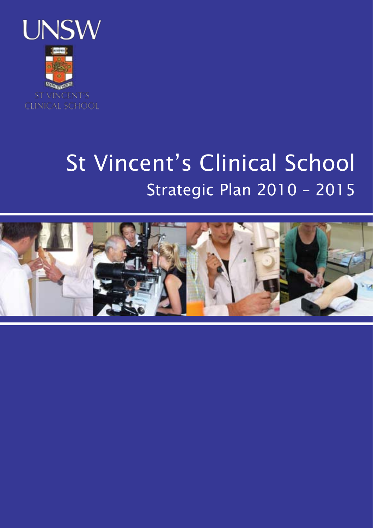

# St Vincent's Clinical School Strategic Plan 2010 – 2015

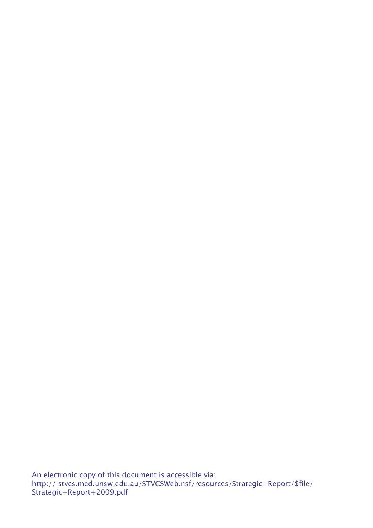An electronic copy of this document is accessible via: http:// stvcs.med.unsw.edu.au/STVCSWeb.nsf/resources/Strategic+Report/\$file/ Strategic+Report+2009.pdf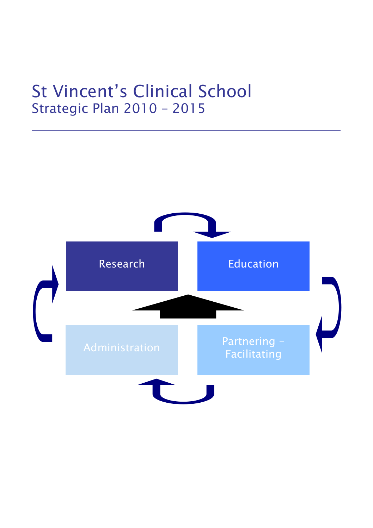# St Vincent's Clinical School Strategic Plan 2010 – 2015

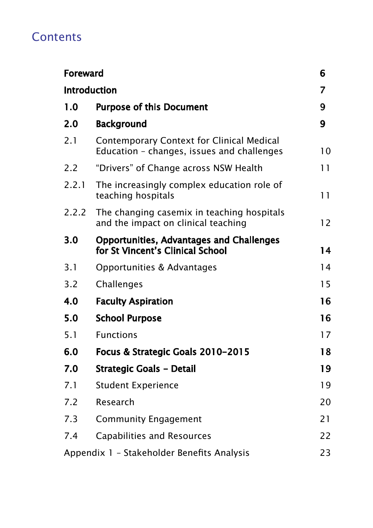# **Contents**

| <b>Foreward</b> |                                                                                         | 6  |
|-----------------|-----------------------------------------------------------------------------------------|----|
|                 | <b>Introduction</b>                                                                     | 7  |
| 1.0             | <b>Purpose of this Document</b>                                                         | 9  |
| 2.0             | <b>Background</b>                                                                       | 9  |
| 2.1             | Contemporary Context for Clinical Medical<br>Education - changes, issues and challenges | 10 |
| 2.2             | "Drivers" of Change across NSW Health                                                   | 11 |
| 2.2.1           | The increasingly complex education role of<br>teaching hospitals                        | 11 |
| 2.2.2           | The changing casemix in teaching hospitals<br>and the impact on clinical teaching       | 12 |
| 3.0             | <b>Opportunities, Advantages and Challenges</b><br>for St Vincent's Clinical School     | 14 |
| 3.1             | Opportunities & Advantages                                                              | 14 |
| 3.2             | Challenges                                                                              | 15 |
| 4.0             | <b>Faculty Aspiration</b>                                                               | 16 |
| 5.0             | <b>School Purpose</b>                                                                   | 16 |
| 5.1             | <b>Functions</b>                                                                        | 17 |
| 6.0             | Focus & Strategic Goals 2010-2015                                                       | 18 |
| 7.0             | <b>Strategic Goals - Detail</b>                                                         | 19 |
| 7.1             | <b>Student Experience</b>                                                               | 19 |
| 7.2             | Research                                                                                | 20 |
| 7.3             | <b>Community Engagement</b>                                                             | 21 |
| 7.4             | Capabilities and Resources                                                              | 22 |
|                 | Appendix 1 - Stakeholder Benefits Analysis                                              | 23 |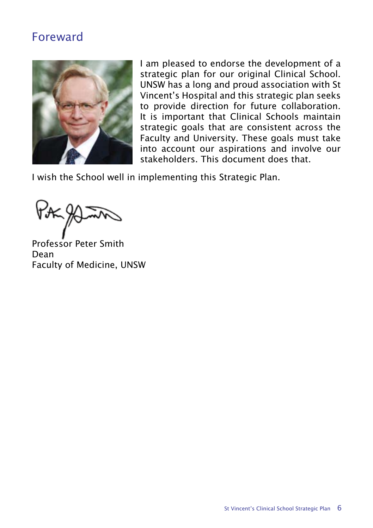# Foreward



I am pleased to endorse the development of a strategic plan for our original Clinical School. UNSW has a long and proud association with St Vincent's Hospital and this strategic plan seeks to provide direction for future collaboration. It is important that Clinical Schools maintain strategic goals that are consistent across the Faculty and University. These goals must take into account our aspirations and involve our stakeholders. This document does that.

I wish the School well in implementing this Strategic Plan.

Professor Peter Smith Dean Faculty of Medicine, UNSW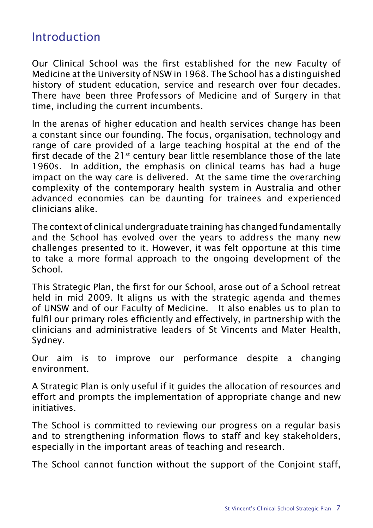# Introduction

Our Clinical School was the first established for the new Faculty of Medicine at the University of NSW in 1968. The School has a distinguished history of student education, service and research over four decades. There have been three Professors of Medicine and of Surgery in that time, including the current incumbents.

In the arenas of higher education and health services change has been a constant since our founding. The focus, organisation, technology and range of care provided of a large teaching hospital at the end of the first decade of the 21<sup>st</sup> century bear little resemblance those of the late 1960s. In addition, the emphasis on clinical teams has had a huge impact on the way care is delivered. At the same time the overarching complexity of the contemporary health system in Australia and other advanced economies can be daunting for trainees and experienced clinicians alike.

The context of clinical undergraduate training has changed fundamentally and the School has evolved over the years to address the many new challenges presented to it. However, it was felt opportune at this time to take a more formal approach to the ongoing development of the School.

This Strategic Plan, the first for our School, arose out of a School retreat held in mid 2009. It aligns us with the strategic agenda and themes of UNSW and of our Faculty of Medicine. It also enables us to plan to fulfil our primary roles efficiently and effectively, in partnership with the clinicians and administrative leaders of St Vincents and Mater Health, Sydney.

Our aim is to improve our performance despite a changing environment.

A Strategic Plan is only useful if it guides the allocation of resources and effort and prompts the implementation of appropriate change and new initiatives.

The School is committed to reviewing our progress on a regular basis and to strengthening information flows to staff and key stakeholders, especially in the important areas of teaching and research.

The School cannot function without the support of the Conjoint staff,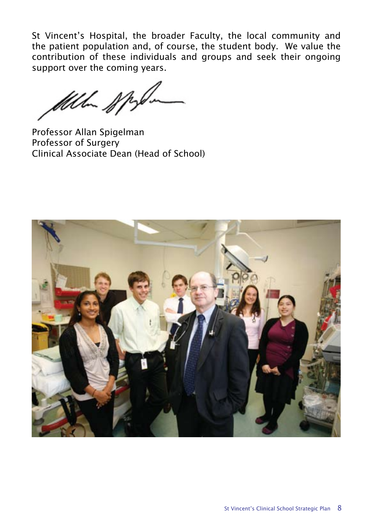St Vincent's Hospital, the broader Faculty, the local community and the patient population and, of course, the student body. We value the contribution of these individuals and groups and seek their ongoing support over the coming years.

UU-DIS

Professor Allan Spigelman Professor of Surgery Clinical Associate Dean (Head of School)

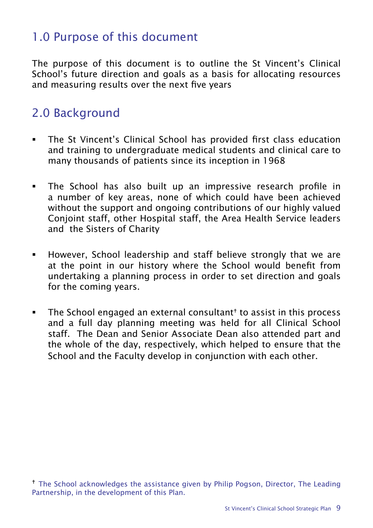# 1.0 Purpose of this document

The purpose of this document is to outline the St Vincent's Clinical School's future direction and goals as a basis for allocating resources and measuring results over the next five years

# 2.0 Background

- The St Vincent's Clinical School has provided first class education and training to undergraduate medical students and clinical care to many thousands of patients since its inception in 1968
- The School has also built up an impressive research profile in a number of key areas, none of which could have been achieved without the support and ongoing contributions of our highly valued Conjoint staff, other Hospital staff, the Area Health Service leaders and the Sisters of Charity
- However, School leadership and staff believe strongly that we are at the point in our history where the School would benefit from undertaking a planning process in order to set direction and goals for the coming years.
- $\blacksquare$  The School engaged an external consultant<sup>†</sup> to assist in this process and a full day planning meeting was held for all Clinical School staff. The Dean and Senior Associate Dean also attended part and the whole of the day, respectively, which helped to ensure that the School and the Faculty develop in conjunction with each other.

<sup>&</sup>lt;sup>†</sup> The School acknowledges the assistance given by Philip Pogson, Director, The Leading Partnership, in the development of this Plan.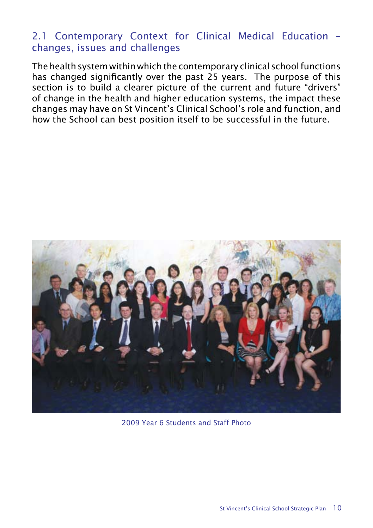#### 2.1 Contemporary Context for Clinical Medical Education – changes, issues and challenges

The health system within which the contemporary clinical school functions has changed significantly over the past 25 years. The purpose of this section is to build a clearer picture of the current and future "drivers" of change in the health and higher education systems, the impact these changes may have on St Vincent's Clinical School's role and function, and how the School can best position itself to be successful in the future.



2009 Year 6 Students and Staff Photo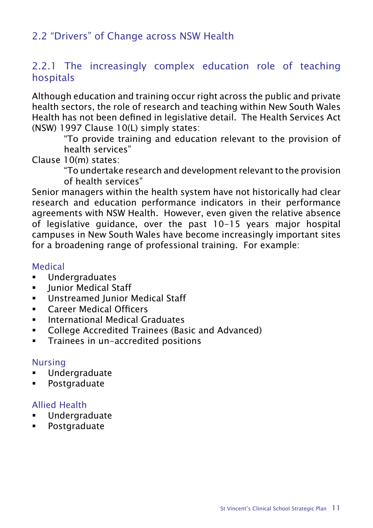### 2.2 "Drivers" of Change across NSW Health

#### 2.2.1 The increasingly complex education role of teaching hospitals

Although education and training occur right across the public and private health sectors, the role of research and teaching within New South Wales Health has not been defined in legislative detail. The Health Services Act (NSW) 1997 Clause 10(L) simply states:

"To provide training and education relevant to the provision of health services"

Clause 10(m) states:

"To undertake research and development relevant to the provision of health services"

Senior managers within the health system have not historically had clear research and education performance indicators in their performance agreements with NSW Health. However, even given the relative absence of legislative guidance, over the past 10-15 years major hospital campuses in New South Wales have become increasingly important sites for a broadening range of professional training. For example:

#### Medical

- Undergraduates
- **•** Junior Medical Staff
- **Unstreamed Junior Medical Staff**
- Career Medical Officers
- **International Medical Graduates**
- **College Accredited Trainees (Basic and Advanced)**
- **Trainees in un-accredited positions**

#### Nursing

- Undergraduate
- **Postgraduate**

#### Allied Health

- **Undergraduate**
- **Postgraduate**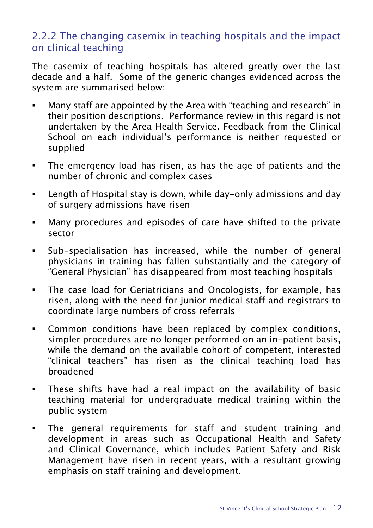#### 2.2.2 The changing casemix in teaching hospitals and the impact on clinical teaching

The casemix of teaching hospitals has altered greatly over the last decade and a half. Some of the generic changes evidenced across the system are summarised below:

- Many staff are appointed by the Area with "teaching and research" in their position descriptions. Performance review in this regard is not undertaken by the Area Health Service. Feedback from the Clinical School on each individual's performance is neither requested or supplied
- The emergency load has risen, as has the age of patients and the number of chronic and complex cases
- Length of Hospital stay is down, while day-only admissions and day of surgery admissions have risen
- Many procedures and episodes of care have shifted to the private sector
- Sub-specialisation has increased, while the number of general physicians in training has fallen substantially and the category of "General Physician" has disappeared from most teaching hospitals
- The case load for Geriatricians and Oncologists, for example, has risen, along with the need for junior medical staff and registrars to coordinate large numbers of cross referrals
- **EXECOMMON CONDUCTS COMMON COMMON EXECUTE:** Common conditions, simpler procedures are no longer performed on an in-patient basis, while the demand on the available cohort of competent, interested "clinical teachers" has risen as the clinical teaching load has broadened
- These shifts have had a real impact on the availability of basic teaching material for undergraduate medical training within the public system
- The general requirements for staff and student training and development in areas such as Occupational Health and Safety and Clinical Governance, which includes Patient Safety and Risk Management have risen in recent years, with a resultant growing emphasis on staff training and development.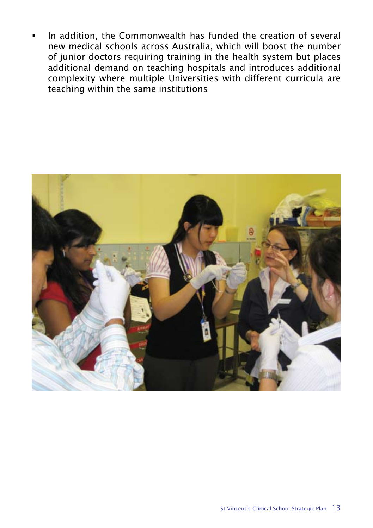In addition, the Commonwealth has funded the creation of several new medical schools across Australia, which will boost the number of junior doctors requiring training in the health system but places additional demand on teaching hospitals and introduces additional complexity where multiple Universities with different curricula are teaching within the same institutions

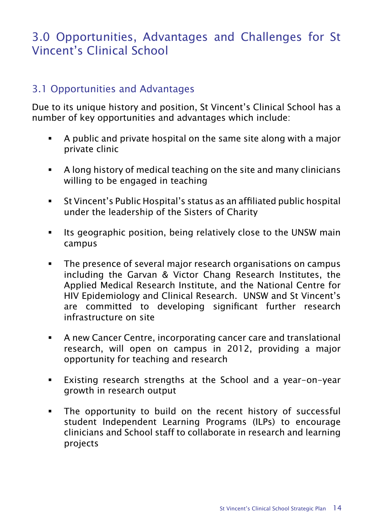# 3.0 Opportunities, Advantages and Challenges for St Vincent's Clinical School

#### 3.1 Opportunities and Advantages

Due to its unique history and position, St Vincent's Clinical School has a number of key opportunities and advantages which include:

- A public and private hospital on the same site along with a major private clinic
- A long history of medical teaching on the site and many clinicians willing to be engaged in teaching
- St Vincent's Public Hospital's status as an affiliated public hospital under the leadership of the Sisters of Charity
- **Its geographic position, being relatively close to the UNSW main** campus
- **The presence of several major research organisations on campus** including the Garvan & Victor Chang Research Institutes, the Applied Medical Research Institute, and the National Centre for HIV Epidemiology and Clinical Research. UNSW and St Vincent's are committed to developing significant further research infrastructure on site
- A new Cancer Centre, incorporating cancer care and translational research, will open on campus in 2012, providing a major opportunity for teaching and research
- Existing research strengths at the School and a year-on-year growth in research output
- The opportunity to build on the recent history of successful student Independent Learning Programs (ILPs) to encourage clinicians and School staff to collaborate in research and learning projects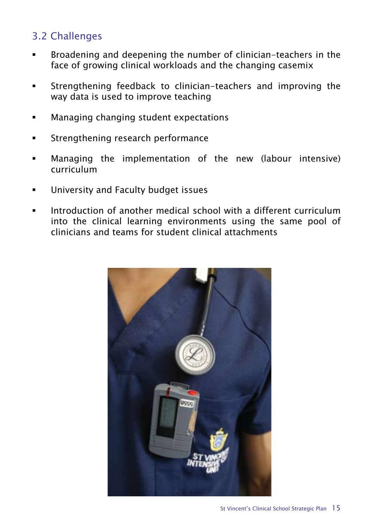## 3.2 Challenges

- Broadening and deepening the number of clinician-teachers in the face of growing clinical workloads and the changing casemix
- Strengthening feedback to clinician-teachers and improving the way data is used to improve teaching
- Managing changing student expectations
- Strengthening research performance
- Managing the implementation of the new (labour intensive) curriculum
- University and Faculty budget issues
- Introduction of another medical school with a different curriculum into the clinical learning environments using the same pool of clinicians and teams for student clinical attachments

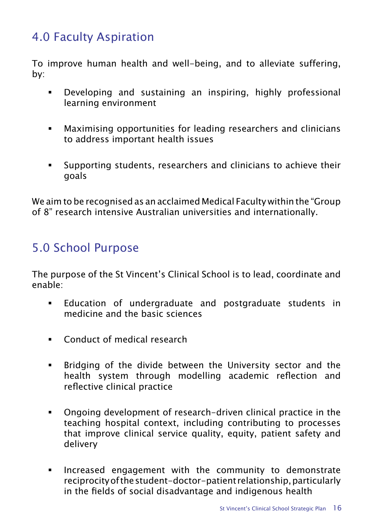# 4.0 Faculty Aspiration

To improve human health and well-being, and to alleviate suffering, by:

- Developing and sustaining an inspiring, highly professional learning environment
- Maximising opportunities for leading researchers and clinicians to address important health issues
- Supporting students, researchers and clinicians to achieve their goals

We aim to be recognised as an acclaimed Medical Faculty within the "Group of 8" research intensive Australian universities and internationally.

# 5.0 School Purpose

The purpose of the St Vincent's Clinical School is to lead, coordinate and enable:

- Education of undergraduate and postgraduate students in medicine and the basic sciences
- **Conduct of medical research**
- Bridging of the divide between the University sector and the health system through modelling academic reflection and reflective clinical practice
- Ongoing development of research-driven clinical practice in the teaching hospital context, including contributing to processes that improve clinical service quality, equity, patient safety and delivery
- **Increased engagement with the community to demonstrate** reciprocity of the student-doctor-patient relationship, particularly in the fields of social disadvantage and indigenous health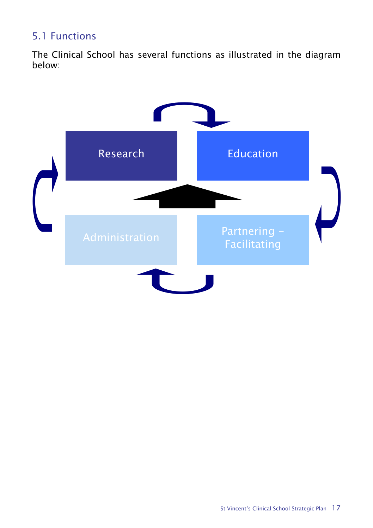## 5.1 Functions

The Clinical School has several functions as illustrated in the diagram below:

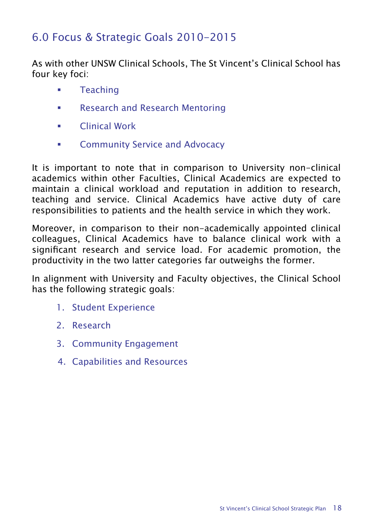## 6.0 Focus & Strategic Goals 2010-2015

As with other UNSW Clinical Schools, The St Vincent's Clinical School has four key foci:

- **Teaching**
- Research and Research Mentoring
- Clinical Work
- **EXECOMMUNITY Service and Advocacy**

It is important to note that in comparison to University non-clinical academics within other Faculties, Clinical Academics are expected to maintain a clinical workload and reputation in addition to research, teaching and service. Clinical Academics have active duty of care responsibilities to patients and the health service in which they work.

Moreover, in comparison to their non-academically appointed clinical colleagues, Clinical Academics have to balance clinical work with a significant research and service load. For academic promotion, the productivity in the two latter categories far outweighs the former.

In alignment with University and Faculty objectives, the Clinical School has the following strategic goals:

- 1. Student Experience
- 2. Research
- 3. Community Engagement
- 4. Capabilities and Resources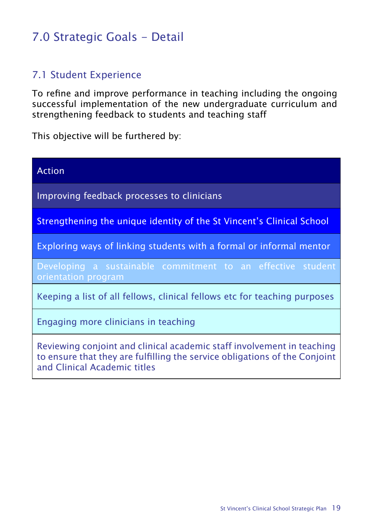# 7.0 Strategic Goals - Detail

#### 7.1 Student Experience

To refine and improve performance in teaching including the ongoing successful implementation of the new undergraduate curriculum and strengthening feedback to students and teaching staff

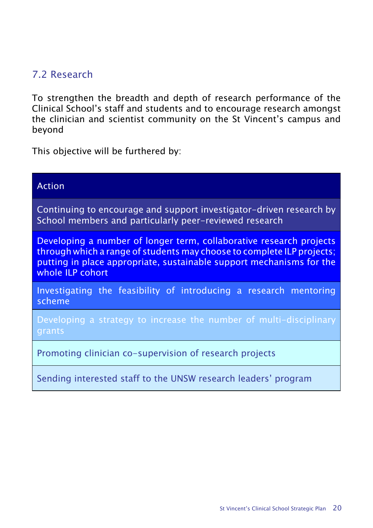### 7.2 Research

To strengthen the breadth and depth of research performance of the Clinical School's staff and students and to encourage research amongst the clinician and scientist community on the St Vincent's campus and beyond

| <b>Action</b>                                                                                                                                                                                                                             |  |  |  |  |
|-------------------------------------------------------------------------------------------------------------------------------------------------------------------------------------------------------------------------------------------|--|--|--|--|
| Continuing to encourage and support investigator-driven research by<br>School members and particularly peer-reviewed research                                                                                                             |  |  |  |  |
| Developing a number of longer term, collaborative research projects<br>through which a range of students may choose to complete ILP projects;<br>putting in place appropriate, sustainable support mechanisms for the<br>whole ILP cohort |  |  |  |  |
| Investigating the feasibility of introducing a research mentoring<br>scheme                                                                                                                                                               |  |  |  |  |
| Developing a strategy to increase the number of multi-disciplinary<br>grants                                                                                                                                                              |  |  |  |  |
| Promoting clinician co-supervision of research projects                                                                                                                                                                                   |  |  |  |  |
| Sending interested staff to the UNSW research leaders' program                                                                                                                                                                            |  |  |  |  |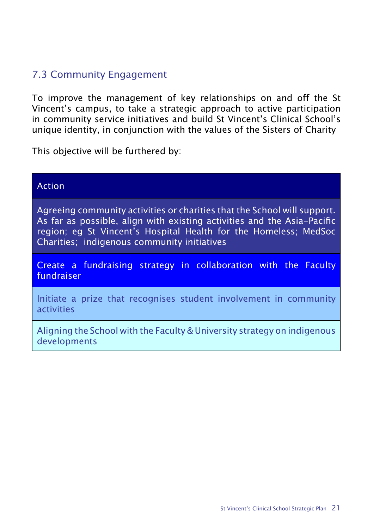### 7.3 Community Engagement

To improve the management of key relationships on and off the St Vincent's campus, to take a strategic approach to active participation in community service initiatives and build St Vincent's Clinical School's unique identity, in conjunction with the values of the Sisters of Charity

| <b>Action</b>                                                                                                                                                                                                                                                          |  |  |  |  |
|------------------------------------------------------------------------------------------------------------------------------------------------------------------------------------------------------------------------------------------------------------------------|--|--|--|--|
| Agreeing community activities or charities that the School will support.<br>As far as possible, align with existing activities and the Asia-Pacific<br>region; eg St Vincent's Hospital Health for the Homeless; MedSoc<br>Charities; indigenous community initiatives |  |  |  |  |
| Create a fundraising strategy in collaboration with the Faculty<br>fundraiser                                                                                                                                                                                          |  |  |  |  |
| Initiate a prize that recognises student involvement in community<br>activities                                                                                                                                                                                        |  |  |  |  |
| Aligning the School with the Faculty & University strategy on indigenous<br>developments                                                                                                                                                                               |  |  |  |  |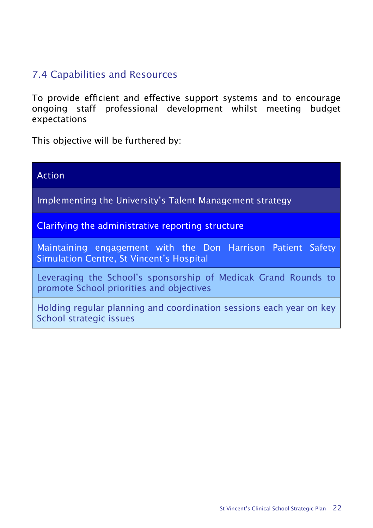#### 7.4 Capabilities and Resources

To provide efficient and effective support systems and to encourage ongoing staff professional development whilst meeting budget expectations

| Action                                                                                                     |  |  |
|------------------------------------------------------------------------------------------------------------|--|--|
| Implementing the University's Talent Management strategy                                                   |  |  |
| Clarifying the administrative reporting structure                                                          |  |  |
| Maintaining engagement with the Don Harrison Patient Safety<br>Simulation Centre, St Vincent's Hospital    |  |  |
| Leveraging the School's sponsorship of Medicak Grand Rounds to<br>promote School priorities and objectives |  |  |
| Holding regular planning and coordination sessions each year on key<br>School strategic issues             |  |  |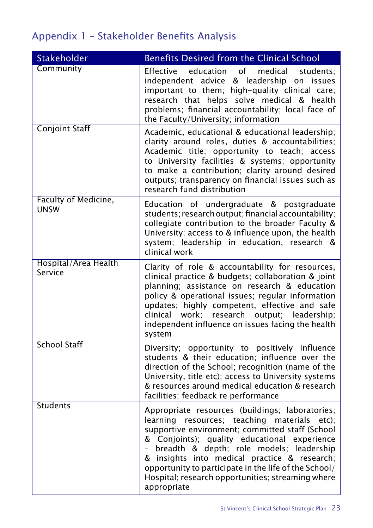# Appendix 1 – Stakeholder Benefits Analysis

| <b>Stakeholder</b>              | <b>Benefits Desired from the Clinical School</b>                                                                                                                                                                                                                                                                                                                                                                                 |
|---------------------------------|----------------------------------------------------------------------------------------------------------------------------------------------------------------------------------------------------------------------------------------------------------------------------------------------------------------------------------------------------------------------------------------------------------------------------------|
| Community                       | Effective<br>education<br>of<br>medical<br>students:<br>independent advice & leadership on issues<br>important to them; high-quality clinical care;<br>research that helps solve medical & health<br>problems; financial accountability; local face of<br>the Faculty/University; information                                                                                                                                    |
| <b>Conjoint Staff</b>           | Academic, educational & educational leadership;<br>clarity around roles, duties & accountabilities;<br>Academic title; opportunity to teach; access<br>to University facilities & systems; opportunity<br>to make a contribution; clarity around desired<br>outputs; transparency on financial issues such as<br>research fund distribution                                                                                      |
| Faculty of Medicine,<br>unsw    | Education of undergraduate & postgraduate<br>students; research output; financial accountability;<br>collegiate contribution to the broader Faculty &<br>University; access to & influence upon, the health<br>system; leadership in education, research &<br>clinical work                                                                                                                                                      |
| Hospital/Area Health<br>Service | Clarity of role & accountability for resources,<br>clinical practice & budgets; collaboration & joint<br>planning; assistance on research & education<br>policy & operational issues; regular information<br>updates; highly competent, effective and safe<br>research<br>clinical work;<br>output;<br>leadership;<br>independent influence on issues facing the health<br>system                                                |
| <b>School Staff</b>             | Diversity; opportunity to positively influence<br>students & their education; influence over the<br>direction of the School; recognition (name of the<br>University, title etc); access to University systems<br>& resources around medical education & research<br>facilities; feedback re performance                                                                                                                          |
| <b>Students</b>                 | Appropriate resources (buildings; laboratories;<br>learning<br>resources; teaching materials etc);<br>supportive environment; committed staff (School<br>& Conjoints); quality educational experience<br>- breadth & depth; role models; leadership<br>& insights into medical practice & research;<br>opportunity to participate in the life of the School/<br>Hospital; research opportunities; streaming where<br>appropriate |